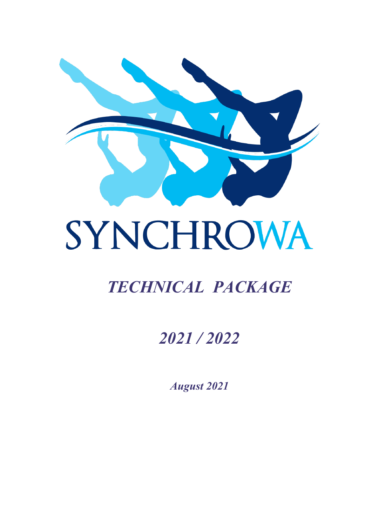

# SYNCHROWA

# *TECHNICAL PACKAGE*

# *2021 / 2022*

*August 2021*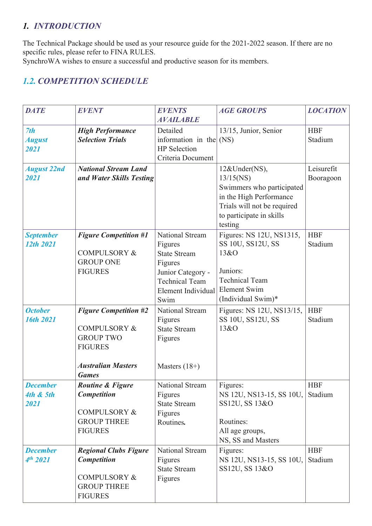# *1. INTRODUCTION*

The Technical Package should be used as your resource guide for the 2021-2022 season. If there are no specific rules, please refer to FINA RULES.

SynchroWA wishes to ensure a successful and productive season for its members.

# *1.2. COMPETITION SCHEDULE*

| <b>DATE</b>                                     | <b>EVENT</b>                                                                                                                               | <b>EVENTS</b><br><b>AVAILABLE</b>                                                                                                                      | <b>AGE GROUPS</b>                                                                                                                                           | <b>LOCATION</b>         |
|-------------------------------------------------|--------------------------------------------------------------------------------------------------------------------------------------------|--------------------------------------------------------------------------------------------------------------------------------------------------------|-------------------------------------------------------------------------------------------------------------------------------------------------------------|-------------------------|
| 7th<br><b>August</b><br>2021                    | <b>High Performance</b><br><b>Selection Trials</b>                                                                                         | Detailed<br>information in the $(NS)$<br><b>HP</b> Selection<br>Criteria Document                                                                      | 13/15, Junior, Senior                                                                                                                                       | <b>HBF</b><br>Stadium   |
| <b>August 22nd</b><br>2021                      | <b>National Stream Land</b><br>and Water Skills Testing                                                                                    |                                                                                                                                                        | 12&Under(NS),<br>$13/15$ (NS)<br>Swimmers who participated<br>in the High Performance<br>Trials will not be required<br>to participate in skills<br>testing | Leisurefit<br>Booragoon |
| <b>September</b><br>12th 2021                   | <b>Figure Competition #1</b><br><b>COMPULSORY &amp;</b><br><b>GROUP ONE</b><br><b>FIGURES</b>                                              | <b>National Stream</b><br>Figures<br><b>State Stream</b><br>Figures<br>Junior Category -<br><b>Technical Team</b><br><b>Element Individual</b><br>Swim | Figures: NS 12U, NS1315,<br>SS 10U, SS12U, SS<br>13&O<br>Juniors:<br><b>Technical Team</b><br><b>Element Swim</b><br>(Individual Swim)*                     | <b>HBF</b><br>Stadium   |
| <b>October</b><br>16th 2021                     | <b>Figure Competition #2</b><br><b>COMPULSORY &amp;</b><br><b>GROUP TWO</b><br><b>FIGURES</b><br><b>Australian Masters</b><br><b>Games</b> | National Stream<br>Figures<br><b>State Stream</b><br>Figures<br>Masters $(18+)$                                                                        | Figures: NS 12U, NS13/15,<br>SS 10U, SS12U, SS<br>13&O                                                                                                      | <b>HBF</b><br>Stadium   |
| <b>December</b><br><b>4th &amp; 5th</b><br>2021 | Routine & Figure<br><b>Competition</b><br><b>COMPULSORY &amp;</b><br><b>GROUP THREE</b><br><b>FIGURES</b>                                  | National Stream<br>Figures<br><b>State Stream</b><br>Figures<br>Routines.                                                                              | Figures:<br>NS 12U, NS13-15, SS 10U,<br>SS12U, SS 13&O<br>Routines:<br>All age groups,<br>NS, SS and Masters                                                | <b>HBF</b><br>Stadium   |
| <b>December</b><br>$4^{th}$ 2021                | <b>Regional Clubs Figure</b><br>Competition<br><b>COMPULSORY &amp;</b><br><b>GROUP THREE</b><br><b>FIGURES</b>                             | National Stream<br>Figures<br><b>State Stream</b><br>Figures                                                                                           | Figures:<br>NS 12U, NS13-15, SS 10U,<br>SS12U, SS 13&O                                                                                                      | <b>HBF</b><br>Stadium   |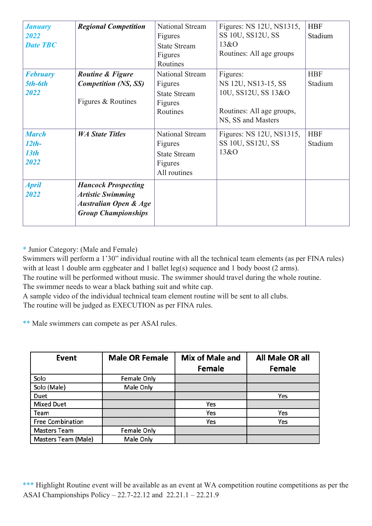| <b><i>January</i></b><br>2022<br><b>Date TBC</b> | <b>Regional Competition</b>                                                                                              | National Stream<br>Figures<br><b>State Stream</b><br>Figures<br>Routines     | Figures: NS 12U, NS1315,<br>SS 10U, SS12U, SS<br>13&0<br>Routines: All age groups                         | <b>HBF</b><br>Stadium |
|--------------------------------------------------|--------------------------------------------------------------------------------------------------------------------------|------------------------------------------------------------------------------|-----------------------------------------------------------------------------------------------------------|-----------------------|
| <b>February</b><br>5th-6th<br>2022               | Routine & Figure<br><b>Competition (NS, SS)</b><br>Figures & Routines                                                    | National Stream<br>Figures<br><b>State Stream</b><br>Figures<br>Routines     | Figures:<br>NS 12U, NS13-15, SS<br>10U, SS12U, SS 13&O<br>Routines: All age groups,<br>NS, SS and Masters | <b>HBF</b><br>Stadium |
| <b>March</b><br>$12th-$<br>13th<br>2022          | <b>WA State Titles</b>                                                                                                   | National Stream<br>Figures<br><b>State Stream</b><br>Figures<br>All routines | Figures: NS 12U, NS1315,<br>SS 10U, SS12U, SS<br>13&0                                                     | <b>HBF</b><br>Stadium |
| <b>April</b><br>2022                             | <b>Hancock Prospecting</b><br><b>Artistic Swimming</b><br><b>Australian Open &amp; Age</b><br><b>Group Championships</b> |                                                                              |                                                                                                           |                       |

\* Junior Category: (Male and Female)

Swimmers will perform a 1'30" individual routine with all the technical team elements (as per FINA rules) with at least 1 double arm eggbeater and 1 ballet leg(s) sequence and 1 body boost (2 arms).

The routine will be performed without music. The swimmer should travel during the whole routine. The swimmer needs to wear a black bathing suit and white cap.

A sample video of the individual technical team element routine will be sent to all clubs.

The routine will be judged as EXECUTION as per FINA rules.

\*\* Male swimmers can compete as per ASAI rules.

| Event                   | <b>Male OR Female</b> | Mix of Male and<br><b>Female</b> | All Male OR all<br><b>Female</b> |
|-------------------------|-----------------------|----------------------------------|----------------------------------|
| Solo                    | Female Only           |                                  |                                  |
| Solo (Male)             | Male Only             |                                  |                                  |
| Duet                    |                       |                                  | Yes                              |
| <b>Mixed Duet</b>       |                       | Yes                              |                                  |
| Team                    |                       | Yes                              | Yes                              |
| <b>Free Combination</b> |                       | Yes                              | Yes                              |
| <b>Masters Team</b>     | Female Only           |                                  |                                  |
| Masters Team (Male)     | Male Only             |                                  |                                  |

\*\*\* Highlight Routine event will be available as an event at WA competition routine competitions as per the ASAI Championships Policy – 22.7-22.12 and 22.21.1 – 22.21.9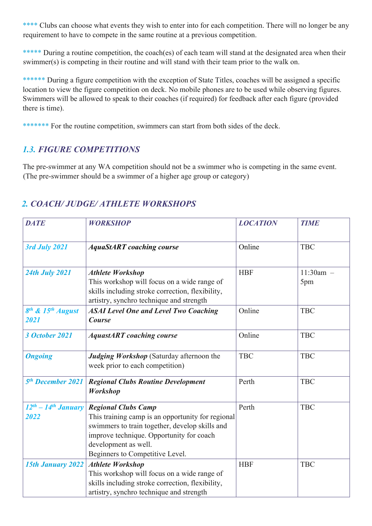\*\*\*\* Clubs can choose what events they wish to enter into for each competition. There will no longer be any requirement to have to compete in the same routine at a previous competition.

\*\*\*\*\* During a routine competition, the coach(es) of each team will stand at the designated area when their swimmer(s) is competing in their routine and will stand with their team prior to the walk on.

\*\*\*\*\*\* During a figure competition with the exception of State Titles, coaches will be assigned a specific location to view the figure competition on deck. No mobile phones are to be used while observing figures. Swimmers will be allowed to speak to their coaches (if required) for feedback after each figure (provided there is time).

\*\*\*\*\*\*\* For the routine competition, swimmers can start from both sides of the deck.

# *1.3. FIGURE COMPETITIONS*

The pre-swimmer at any WA competition should not be a swimmer who is competing in the same event. (The pre-swimmer should be a swimmer of a higher age group or category)

| <b>DATE</b>                                       | <b>WORKSHOP</b>                                                                                                                                                                                                                          | <b>LOCATION</b> | <b>TIME</b>         |
|---------------------------------------------------|------------------------------------------------------------------------------------------------------------------------------------------------------------------------------------------------------------------------------------------|-----------------|---------------------|
| 3rd July 2021                                     | <b>AquaStART</b> coaching course                                                                                                                                                                                                         | Online          | <b>TBC</b>          |
| <b>24th July 2021</b>                             | <b>Athlete Workshop</b><br>This workshop will focus on a wide range of<br>skills including stroke correction, flexibility,<br>artistry, synchro technique and strength                                                                   | <b>HBF</b>      | $11:30$ am -<br>5pm |
| 8 <sup>th</sup> & 15 <sup>th</sup> August<br>2021 | <b>ASAI Level One and Level Two Coaching</b><br><b>Course</b>                                                                                                                                                                            | Online          | <b>TBC</b>          |
| <b>3 October 2021</b>                             | <b>AquastART</b> coaching course                                                                                                                                                                                                         | Online          | <b>TBC</b>          |
| <b>Ongoing</b>                                    | Judging Workshop (Saturday afternoon the<br>week prior to each competition)                                                                                                                                                              | <b>TBC</b>      | <b>TBC</b>          |
| 5 <sup>th</sup> December 2021                     | <b>Regional Clubs Routine Development</b><br>Workshop                                                                                                                                                                                    | Perth           | <b>TBC</b>          |
| $12^{th} - 14^{th}$ January<br>2022               | <b>Regional Clubs Camp</b><br>This training camp is an opportunity for regional<br>swimmers to train together, develop skills and<br>improve technique. Opportunity for coach<br>development as well.<br>Beginners to Competitive Level. | Perth           | <b>TBC</b>          |
| <b>15th January 2022</b>                          | <b>Athlete Workshop</b><br>This workshop will focus on a wide range of<br>skills including stroke correction, flexibility,<br>artistry, synchro technique and strength                                                                   | <b>HBF</b>      | <b>TBC</b>          |

# *2. COACH/ JUDGE/ ATHLETE WORKSHOPS*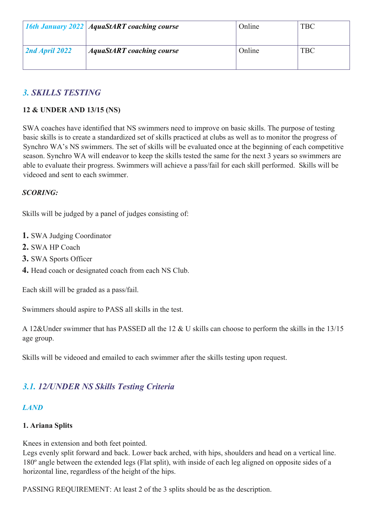|                | <b>16th January 2022 AquaStART coaching course</b> | Online | <b>TBC</b> |
|----------------|----------------------------------------------------|--------|------------|
| 2nd April 2022 | <b>AquaStART</b> coaching course                   | Online | <b>TBC</b> |

# *3. SKILLS TESTING*

#### **12 & UNDER AND 13/15 (NS)**

SWA coaches have identified that NS swimmers need to improve on basic skills. The purpose of testing basic skills is to create a standardized set of skills practiced at clubs as well as to monitor the progress of Synchro WA's NS swimmers. The set of skills will be evaluated once at the beginning of each competitive season. Synchro WA will endeavor to keep the skills tested the same for the next 3 years so swimmers are able to evaluate their progress. Swimmers will achieve a pass/fail for each skill performed. Skills will be videoed and sent to each swimmer.

#### *SCORING:*

Skills will be judged by a panel of judges consisting of:

- **1.** SWA Judging Coordinator
- **2.** SWA HP Coach
- **3.** SWA Sports Officer
- **4.** Head coach or designated coach from each NS Club.

Each skill will be graded as a pass/fail.

Swimmers should aspire to PASS all skills in the test.

A 12&Under swimmer that has PASSED all the 12 & U skills can choose to perform the skills in the 13/15 age group.

Skills will be videoed and emailed to each swimmer after the skills testing upon request.

# *3.1. 12/UNDER NS Skills Testing Criteria*

#### *LAND*

#### **1. Ariana Splits**

Knees in extension and both feet pointed.

Legs evenly split forward and back. Lower back arched, with hips, shoulders and head on a vertical line. 180º angle between the extended legs (Flat split), with inside of each leg aligned on opposite sides of a horizontal line, regardless of the height of the hips.

PASSING REQUIREMENT: At least 2 of the 3 splits should be as the description.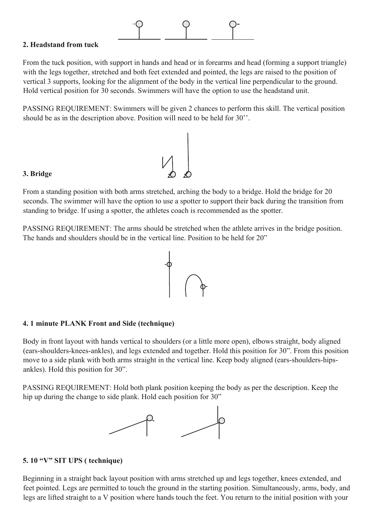

#### **2. Headstand from tuck**

From the tuck position, with support in hands and head or in forearms and head (forming a support triangle) with the legs together, stretched and both feet extended and pointed, the legs are raised to the position of vertical 3 supports, looking for the alignment of the body in the vertical line perpendicular to the ground. Hold vertical position for 30 seconds. Swimmers will have the option to use the headstand unit.

PASSING REQUIREMENT: Swimmers will be given 2 chances to perform this skill. The vertical position should be as in the description above. Position will need to be held for 30''.

 $V_1$ 

#### **3. Bridge**

From a standing position with both arms stretched, arching the body to a bridge. Hold the bridge for 20 seconds. The swimmer will have the option to use a spotter to support their back during the transition from standing to bridge. If using a spotter, the athletes coach is recommended as the spotter.

PASSING REQUIREMENT: The arms should be stretched when the athlete arrives in the bridge position. The hands and shoulders should be in the vertical line. Position to be held for 20"



#### **4. 1 minute PLANK Front and Side (technique)**

Body in front layout with hands vertical to shoulders (or a little more open), elbows straight, body aligned (ears-shoulders-knees-ankles), and legs extended and together. Hold this position for 30". From this position move to a side plank with both arms straight in the vertical line. Keep body aligned (ears-shoulders-hipsankles). Hold this position for 30".

PASSING REQUIREMENT: Hold both plank position keeping the body as per the description. Keep the hip up during the change to side plank. Hold each position for 30"



#### **5. 10 "V" SIT UPS ( technique)**

Beginning in a straight back layout position with arms stretched up and legs together, knees extended, and feet pointed. Legs are permitted to touch the ground in the starting position. Simultaneously, arms, body, and legs are lifted straight to a V position where hands touch the feet. You return to the initial position with your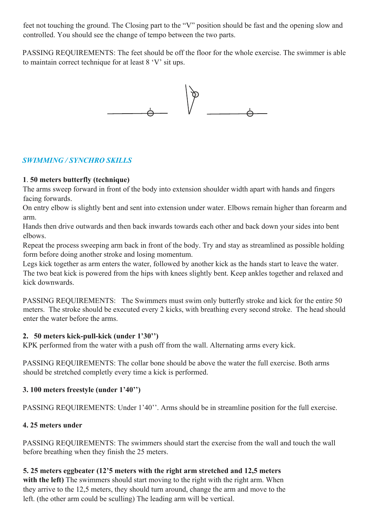feet not touching the ground. The Closing part to the "V" position should be fast and the opening slow and controlled. You should see the change of tempo between the two parts.

PASSING REQUIREMENTS: The feet should be off the floor for the whole exercise. The swimmer is able to maintain correct technique for at least 8 'V' sit ups.



### *SWIMMING / SYNCHRO SKILLS*

#### **1**. **50 meters butterfly (technique)**

The arms sweep forward in front of the body into extension shoulder width apart with hands and fingers facing forwards.

On entry elbow is slightly bent and sent into extension under water. Elbows remain higher than forearm and arm.

Hands then drive outwards and then back inwards towards each other and back down your sides into bent elbows.

Repeat the process sweeping arm back in front of the body. Try and stay as streamlined as possible holding form before doing another stroke and losing momentum.

Legs kick together as arm enters the water, followed by another kick as the hands start to leave the water. The two beat kick is powered from the hips with knees slightly bent. Keep ankles together and relaxed and kick downwards.

PASSING REQUIREMENTS: The Swimmers must swim only butterfly stroke and kick for the entire 50 meters. The stroke should be executed every 2 kicks, with breathing every second stroke. The head should enter the water before the arms.

#### **2. 50 meters kick-pull-kick (under 1'30'')**

KPK performed from the water with a push off from the wall. Alternating arms every kick.

PASSING REQUIREMENTS: The collar bone should be above the water the full exercise. Both arms should be stretched completly every time a kick is performed.

# **3. 100 meters freestyle (under 1'40'')**

PASSING REQUIREMENTS: Under 1'40''. Arms should be in streamline position for the full exercise.

# **4. 25 meters under**

PASSING REQUIREMENTS: The swimmers should start the exercise from the wall and touch the wall before breathing when they finish the 25 meters.

# **5. 25 meters eggbeater (12'5 meters with the right arm stretched and 12,5 meters**

with the left) The swimmers should start moving to the right with the right arm. When they arrive to the 12,5 meters, they should turn around, change the arm and move to the left. (the other arm could be sculling) The leading arm will be vertical.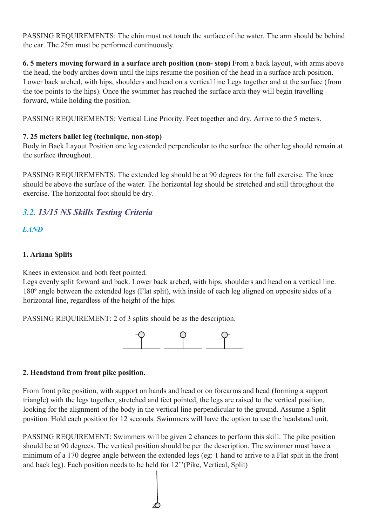PASSING REQUIREMENTS: The chin must not touch the surface of the water. The arm should be behind the ear. The 25m must be performed continuously.

**6. 5 meters moving forward in a surface arch position (non- stop)** From a back layout, with arms above the head, the body arches down until the hips resume the position of the head in a surface arch position. Lower back arched, with hips, shoulders and head on a vertical line Legs together and at the surface (from the toe points to the hips). Once the swimmer has reached the surface arch they will begin travelling forward, while holding the position.

PASSING REQUIREMENTS: Vertical Line Priority. Feet together and dry. Arrive to the 5 meters.

#### **7. 25 meters ballet leg (technique, non-stop)**

Body in Back Layout Position one leg extended perpendicular to the surface the other leg should remain at the surface throughout.

PASSING REQUIREMENTS: The extended leg should be at 90 degrees for the full exercise. The knee should be above the surface of the water. The horizontal leg should be stretched and still throughout the exercise. The horizontal foot should be dry.

# *3.2. 13/15 NS Skills Testing Criteria*

*LAND*

#### **1. Ariana Splits**

Knees in extension and both feet pointed.

Legs evenly split forward and back. Lower back arched, with hips, shoulders and head on a vertical line. 180º angle between the extended legs (Flat split), with inside of each leg aligned on opposite sides of a horizontal line, regardless of the height of the hips.

PASSING REQUIREMENT: 2 of 3 splits should be as the description.



#### **2. Headstand from front pike position.**

From front pike position, with support on hands and head or on forearms and head (forming a support triangle) with the legs together, stretched and feet pointed, the legs are raised to the vertical position, looking for the alignment of the body in the vertical line perpendicular to the ground. Assume a Split position. Hold each position for 12 seconds. Swimmers will have the option to use the headstand unit.

PASSING REQUIREMENT: Swimmers will be given 2 chances to perform this skill. The pike position should be at 90 degrees. The vertical position should be per the description. The swimmer must have a minimum of a 170 degree angle between the extended legs (eg: 1 hand to arrive to a Flat split in the front and back leg). Each position needs to be held for 12''(Pike, Vertical, Split)

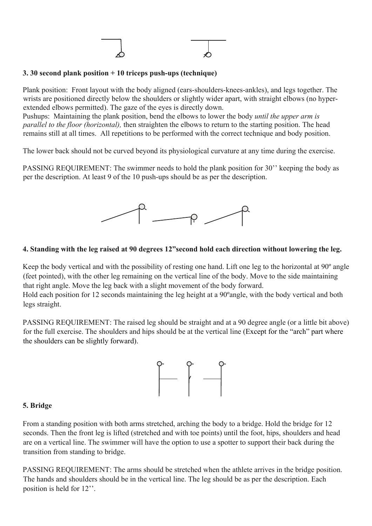#### **3. 30 second plank position + 10 triceps push-ups (technique)**

Plank position: Front layout with the body aligned (ears-shoulders-knees-ankles), and legs together. The wrists are positioned directly below the shoulders or slightly wider apart, with straight elbows (no hyperextended elbows permitted). The gaze of the eyes is directly down.

Pushups: Maintaining the plank position, bend the elbows to lower the body *until the upper arm is parallel to the floor (horizontal),* then straighten the elbows to return to the starting position. The head remains still at all times. All repetitions to be performed with the correct technique and body position.

The lower back should not be curved beyond its physiological curvature at any time during the exercise.

PASSING REQUIREMENT: The swimmer needs to hold the plank position for 30'' keeping the body as per the description. At least 9 of the 10 push-ups should be as per the description.



#### **4. Standing with the leg raised at 90 degrees 12"second hold each direction without lowering the leg.**

Keep the body vertical and with the possibility of resting one hand. Lift one leg to the horizontal at 90º angle (feet pointed), with the other leg remaining on the vertical line of the body. Move to the side maintaining that right angle. Move the leg back with a slight movement of the body forward.

Hold each position for 12 seconds maintaining the leg height at a 90ºangle, with the body vertical and both legs straight.

PASSING REQUIREMENT: The raised leg should be straight and at a 90 degree angle (or a little bit above) for the full exercise. The shoulders and hips should be at the vertical line (Except for the "arch" part where the shoulders can be slightly forward).



#### **5. Bridge**

From a standing position with both arms stretched, arching the body to a bridge. Hold the bridge for 12 seconds. Then the front leg is lifted (stretched and with toe points) until the foot, hips, shoulders and head are on a vertical line. The swimmer will have the option to use a spotter to support their back during the transition from standing to bridge.

PASSING REQUIREMENT: The arms should be stretched when the athlete arrives in the bridge position. The hands and shoulders should be in the vertical line. The leg should be as per the description. Each position is held for 12''.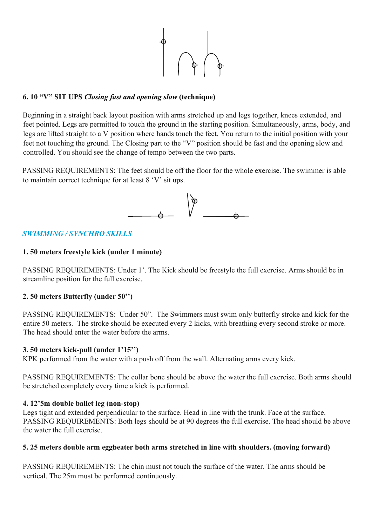

#### **6. 10 "V" SIT UPS** *Closing fast and opening slow* **(technique)**

Beginning in a straight back layout position with arms stretched up and legs together, knees extended, and feet pointed. Legs are permitted to touch the ground in the starting position. Simultaneously, arms, body, and legs are lifted straight to a V position where hands touch the feet. You return to the initial position with your feet not touching the ground. The Closing part to the "V" position should be fast and the opening slow and controlled. You should see the change of tempo between the two parts.

PASSING REQUIREMENTS: The feet should be off the floor for the whole exercise. The swimmer is able to maintain correct technique for at least 8 'V' sit ups.



#### *SWIMMING / SYNCHRO SKILLS*

#### **1. 50 meters freestyle kick (under 1 minute)**

PASSING REQUIREMENTS: Under 1'. The Kick should be freestyle the full exercise. Arms should be in streamline position for the full exercise.

#### **2. 50 meters Butterfly (under 50'')**

PASSING REQUIREMENTS: Under 50". The Swimmers must swim only butterfly stroke and kick for the entire 50 meters. The stroke should be executed every 2 kicks, with breathing every second stroke or more. The head should enter the water before the arms.

#### **3. 50 meters kick-pull (under 1'15'')**

KPK performed from the water with a push off from the wall. Alternating arms every kick.

PASSING REQUIREMENTS: The collar bone should be above the water the full exercise. Both arms should be stretched completely every time a kick is performed.

#### **4. 12'5m double ballet leg (non-stop)**

Legs tight and extended perpendicular to the surface. Head in line with the trunk. Face at the surface. PASSING REQUIREMENTS: Both legs should be at 90 degrees the full exercise. The head should be above the water the full exercise.

#### **5. 25 meters double arm eggbeater both arms stretched in line with shoulders. (moving forward)**

PASSING REQUIREMENTS: The chin must not touch the surface of the water. The arms should be vertical. The 25m must be performed continuously.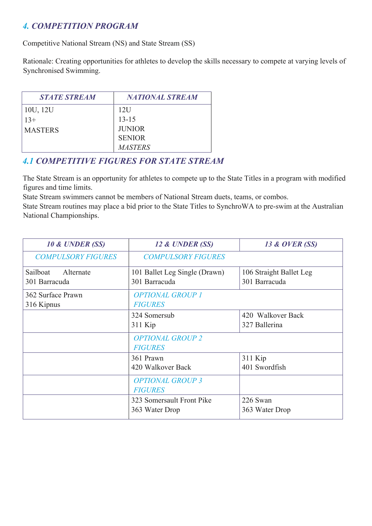# *4. COMPETITION PROGRAM*

Competitive National Stream (NS) and State Stream (SS)

Rationale: Creating opportunities for athletes to develop the skills necessary to compete at varying levels of Synchronised Swimming.

| <b>STATE STREAM</b> | <b>NATIONAL STREAM</b> |
|---------------------|------------------------|
| 10U, 12U            | 12U                    |
| $13+$               | $13 - 15$              |
| <b>MASTERS</b>      | <b>JUNIOR</b>          |
|                     | <b>SENIOR</b>          |
|                     | <i>MASTERS</i>         |

# *4.1 COMPETITIVE FIGURES FOR STATE STREAM*

The State Stream is an opportunity for athletes to compete up to the State Titles in a program with modified figures and time limits.

State Stream swimmers cannot be members of National Stream duets, teams, or combos.

State Stream routines may place a bid prior to the State Titles to SynchroWA to pre-swim at the Australian National Championships.

| 10 & UNDER (SS)           | 12 & UNDER (SS)               | 13 & OVER (SS)          |
|---------------------------|-------------------------------|-------------------------|
| <b>COMPULSORY FIGURES</b> | <b>COMPULSORY FIGURES</b>     |                         |
| Sailboat<br>Alternate     | 101 Ballet Leg Single (Drawn) | 106 Straight Ballet Leg |
| 301 Barracuda             | 301 Barracuda                 | 301 Barracuda           |
| 362 Surface Prawn         | <b>OPTIONAL GROUP 1</b>       |                         |
| 316 Kipnus                | <b>FIGURES</b>                |                         |
|                           | 324 Somersub                  | 420 Walkover Back       |
|                           | $311$ Kip                     | 327 Ballerina           |
|                           | <b>OPTIONAL GROUP 2</b>       |                         |
|                           | <b>FIGURES</b>                |                         |
|                           | 361 Prawn                     | 311 Kip                 |
|                           | 420 Walkover Back             | 401 Swordfish           |
|                           | <b>OPTIONAL GROUP 3</b>       |                         |
|                           | <b>FIGURES</b>                |                         |
|                           | 323 Somersault Front Pike     | 226 Swan                |
|                           | 363 Water Drop                | 363 Water Drop          |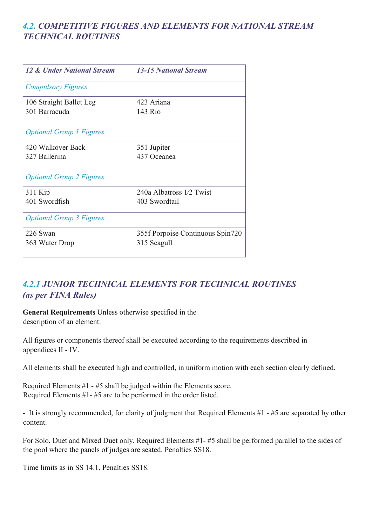# *4.2. COMPETITIVE FIGURES AND ELEMENTS FOR NATIONAL STREAM TECHNICAL ROUTINES*

| <b>12 &amp; Under National Stream</b>    | <b>13-15 National Stream</b>                    |
|------------------------------------------|-------------------------------------------------|
| <b>Compulsory Figures</b>                |                                                 |
| 106 Straight Ballet Leg<br>301 Barracuda | 423 Ariana<br>143 Rio                           |
| <b>Optional Group 1 Figures</b>          |                                                 |
| 420 Walkover Back<br>327 Ballerina       | 351 Jupiter<br>437 Oceanea                      |
| <b>Optional Group 2 Figures</b>          |                                                 |
| 311 Kip<br>401 Swordfish                 | 240a Albatross 1/2 Twist<br>403 Swordtail       |
| <b>Optional Group 3 Figures</b>          |                                                 |
| 226 Swan<br>363 Water Drop               | 355f Porpoise Continuous Spin720<br>315 Seagull |

# *4.2.1 JUNIOR TECHNICAL ELEMENTS FOR TECHNICAL ROUTINES (as per FINA Rules)*

**General Requirements** Unless otherwise specified in the description of an element:

All figures or components thereof shall be executed according to the requirements described in appendices II - IV.

All elements shall be executed high and controlled, in uniform motion with each section clearly defined.

Required Elements #1 - #5 shall be judged within the Elements score. Required Elements #1- #5 are to be performed in the order listed.

- It is strongly recommended, for clarity of judgment that Required Elements #1 - #5 are separated by other content.

For Solo, Duet and Mixed Duet only, Required Elements #1- #5 shall be performed parallel to the sides of the pool where the panels of judges are seated. Penalties SS18.

Time limits as in SS 14.1. Penalties SS18.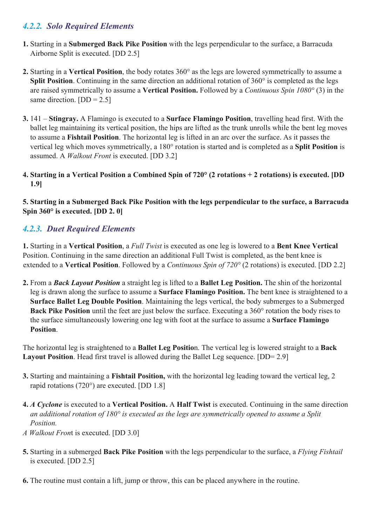# *4.2.2. Solo Required Elements*

- **1.** Starting in a **Submerged Back Pike Position** with the legs perpendicular to the surface, a Barracuda Airborne Split is executed. [DD 2.5]
- **2.** Starting in a **Vertical Position**, the body rotates 360° as the legs are lowered symmetrically to assume a **Split Position**. Continuing in the same direction an additional rotation of 360° is completed as the legs are raised symmetrically to assume a **Vertical Position.** Followed by a *Continuous Spin 1080°* (3) in the same direction.  $[DD = 2.5]$
- **3.** 141 **Stingray.** A Flamingo is executed to a **Surface Flamingo Position**, travelling head first. With the ballet leg maintaining its vertical position, the hips are lifted as the trunk unrolls while the bent leg moves to assume a **Fishtail Position**. The horizontal leg is lifted in an arc over the surface. As it passes the vertical leg which moves symmetrically, a 180° rotation is started and is completed as a **Split Position** is assumed. A *Walkout Front* is executed. [DD 3.2]
- **4. Starting in a Vertical Position a Combined Spin of 720° (2 rotations + 2 rotations) is executed. [DD 1.9]**

**5. Starting in a Submerged Back Pike Position with the legs perpendicular to the surface, a Barracuda Spin 360° is executed. [DD 2. 0]** 

# *4.2.3. Duet Required Elements*

**1.** Starting in a **Vertical Position**, a *Full Twist* is executed as one leg is lowered to a **Bent Knee Vertical**  Position. Continuing in the same direction an additional Full Twist is completed, as the bent knee is extended to a **Vertical Position**. Followed by a *Continuous Spin of 720°* (2 rotations) is executed. [DD 2.2]

**2.** From a *Back Layout Position* a straight leg is lifted to a **Ballet Leg Position.** The shin of the horizontal leg is drawn along the surface to assume a **Surface Flamingo Position.** The bent knee is straightened to a **Surface Ballet Leg Double Position**. Maintaining the legs vertical, the body submerges to a Submerged **Back Pike Position** until the feet are just below the surface. Executing a 360° rotation the body rises to the surface simultaneously lowering one leg with foot at the surface to assume a **Surface Flamingo Position**.

The horizontal leg is straightened to a **Ballet Leg Positio**n. The vertical leg is lowered straight to a **Back Layout Position.** Head first travel is allowed during the Ballet Leg sequence. [DD= 2.9]

- **3.** Starting and maintaining a **Fishtail Position,** with the horizontal leg leading toward the vertical leg, 2 rapid rotations (720°) are executed. [DD 1.8]
- **4.** *A Cyclone* is executed to a **Vertical Position.** A **Half Twist** is executed. Continuing in the same direction *an additional rotation of 180° is executed as the legs are symmetrically opened to assume a Split Position.*
- *A Walkout Fron*t is executed. [DD 3.0]
- **5.** Starting in a submerged **Back Pike Position** with the legs perpendicular to the surface, a *Flying Fishtail* is executed. [DD 2.5]
- **6.** The routine must contain a lift, jump or throw, this can be placed anywhere in the routine.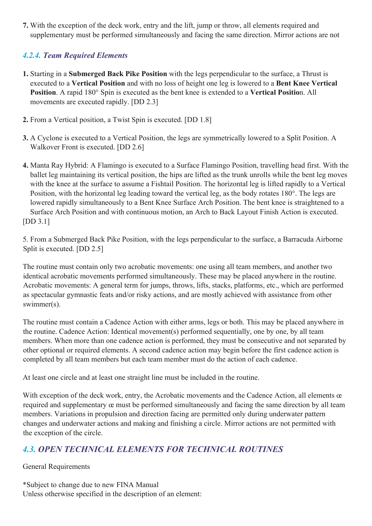**7.** With the exception of the deck work, entry and the lift, jump or throw, all elements required and supplementary must be performed simultaneously and facing the same direction. Mirror actions are not

# *4.2.4. Team Required Elements*

- **1.** Starting in a **Submerged Back Pike Position** with the legs perpendicular to the surface, a Thrust is executed to a **Vertical Position** and with no loss of height one leg is lowered to a **Bent Knee Vertical Position**. A rapid 180° Spin is executed as the bent knee is extended to a **Vertical Positio**n. All movements are executed rapidly. [DD 2.3]
- **2.** From a Vertical position, a Twist Spin is executed. [DD 1.8]
- **3.** A Cyclone is executed to a Vertical Position, the legs are symmetrically lowered to a Split Position. A Walkover Front is executed. [DD 2.6]
- **4.** Manta Ray Hybrid: A Flamingo is executed to a Surface Flamingo Position, travelling head first. With the ballet leg maintaining its vertical position, the hips are lifted as the trunk unrolls while the bent leg moves with the knee at the surface to assume a Fishtail Position. The horizontal leg is lifted rapidly to a Vertical Position, with the horizontal leg leading toward the vertical leg, as the body rotates 180°. The legs are lowered rapidly simultaneously to a Bent Knee Surface Arch Position. The bent knee is straightened to a Surface Arch Position and with continuous motion, an Arch to Back Layout Finish Action is executed. [DD 3.1]

5. From a Submerged Back Pike Position, with the legs perpendicular to the surface, a Barracuda Airborne Split is executed. [DD 2.5]

The routine must contain only two acrobatic movements: one using all team members, and another two identical acrobatic movements performed simultaneously. These may be placed anywhere in the routine. Acrobatic movements: A general term for jumps, throws, lifts, stacks, platforms, etc., which are performed as spectacular gymnastic feats and/or risky actions, and are mostly achieved with assistance from other swimmer(s).

The routine must contain a Cadence Action with either arms, legs or both. This may be placed anywhere in the routine. Cadence Action: Identical movement(s) performed sequentially, one by one, by all team members. When more than one cadence action is performed, they must be consecutive and not separated by other optional or required elements. A second cadence action may begin before the first cadence action is completed by all team members but each team member must do the action of each cadence.

At least one circle and at least one straight line must be included in the routine.

With exception of the deck work, entry, the Acrobatic movements and the Cadence Action, all elements œ required and supplementary œ must be performed simultaneously and facing the same direction by all team members. Variations in propulsion and direction facing are permitted only during underwater pattern changes and underwater actions and making and finishing a circle. Mirror actions are not permitted with the exception of the circle.

# *4.3. OPEN TECHNICAL ELEMENTS FOR TECHNICAL ROUTINES*

General Requirements

\*Subject to change due to new FINA Manual Unless otherwise specified in the description of an element: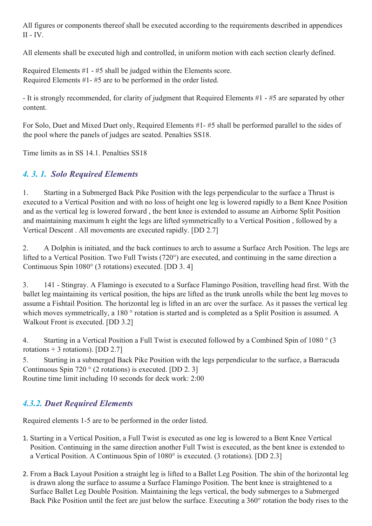All figures or components thereof shall be executed according to the requirements described in appendices  $II - IV$ .

All elements shall be executed high and controlled, in uniform motion with each section clearly defined.

Required Elements #1 - #5 shall be judged within the Elements score. Required Elements #1- #5 are to be performed in the order listed.

- It is strongly recommended, for clarity of judgment that Required Elements #1 - #5 are separated by other content.

For Solo, Duet and Mixed Duet only, Required Elements #1- #5 shall be performed parallel to the sides of the pool where the panels of judges are seated. Penalties SS18.

Time limits as in SS 14.1. Penalties SS18

# *4. 3. 1. Solo Required Elements*

1. Starting in a Submerged Back Pike Position with the legs perpendicular to the surface a Thrust is executed to a Vertical Position and with no loss of height one leg is lowered rapidly to a Bent Knee Position and as the vertical leg is lowered forward , the bent knee is extended to assume an Airborne Split Position and maintaining maximum h eight the legs are lifted symmetrically to a Vertical Position , followed by a Vertical Descent . All movements are executed rapidly. [DD 2.7]

2. A Dolphin is initiated, and the back continues to arch to assume a Surface Arch Position. The legs are lifted to a Vertical Position. Two Full Twists (720°) are executed, and continuing in the same direction a Continuous Spin 1080° (3 rotations) executed. [DD 3. 4]

3. 141 - Stingray. A Flamingo is executed to a Surface Flamingo Position, travelling head first. With the ballet leg maintaining its vertical position, the hips are lifted as the trunk unrolls while the bent leg moves to assume a Fishtail Position. The horizontal leg is lifted in an arc over the surface. As it passes the vertical leg which moves symmetrically, a 180 ° rotation is started and is completed as a Split Position is assumed. A Walkout Front is executed. [DD 3.2]

4. Starting in a Vertical Position a Full Twist is executed followed by a Combined Spin of 1080 ° (3 rotations  $+$  3 rotations). [DD 2.7]

5. Starting in a submerged Back Pike Position with the legs perpendicular to the surface, a Barracuda Continuous Spin 720 ° (2 rotations) is executed. [DD 2. 3] Routine time limit including 10 seconds for deck work: 2:00

# *4.3.2. Duet Required Elements*

Required elements 1-5 are to be performed in the order listed.

- 1. Starting in a Vertical Position, a Full Twist is executed as one leg is lowered to a Bent Knee Vertical Position. Continuing in the same direction another Full Twist is executed, as the bent knee is extended to a Vertical Position. A Continuous Spin of 1080° is executed. (3 rotations). [DD 2.3]
- 2. From a Back Layout Position a straight leg is lifted to a Ballet Leg Position. The shin of the horizontal leg is drawn along the surface to assume a Surface Flamingo Position. The bent knee is straightened to a Surface Ballet Leg Double Position. Maintaining the legs vertical, the body submerges to a Submerged Back Pike Position until the feet are just below the surface. Executing a 360° rotation the body rises to the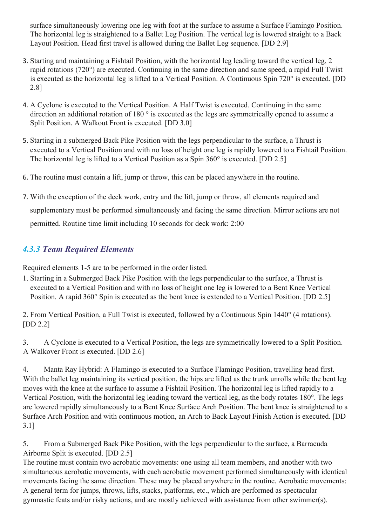surface simultaneously lowering one leg with foot at the surface to assume a Surface Flamingo Position. The horizontal leg is straightened to a Ballet Leg Position. The vertical leg is lowered straight to a Back Layout Position. Head first travel is allowed during the Ballet Leg sequence. [DD 2.9]

- 3. Starting and maintaining a Fishtail Position, with the horizontal leg leading toward the vertical leg, 2 rapid rotations (720°) are executed. Continuing in the same direction and same speed, a rapid Full Twist is executed as the horizontal leg is lifted to a Vertical Position. A Continuous Spin 720° is executed. [DD 2.8]
- 4. A Cyclone is executed to the Vertical Position. A Half Twist is executed. Continuing in the same direction an additional rotation of 180 ° is executed as the legs are symmetrically opened to assume a Split Position. A Walkout Front is executed. [DD 3.0]
- 5. Starting in a submerged Back Pike Position with the legs perpendicular to the surface, a Thrust is executed to a Vertical Position and with no loss of height one leg is rapidly lowered to a Fishtail Position. The horizontal leg is lifted to a Vertical Position as a Spin 360° is executed. [DD 2.5]
- 6. The routine must contain a lift, jump or throw, this can be placed anywhere in the routine.
- 7. With the exception of the deck work, entry and the lift, jump or throw, all elements required and supplementary must be performed simultaneously and facing the same direction. Mirror actions are not permitted. Routine time limit including 10 seconds for deck work: 2:00

# *4.3.3 Team Required Elements*

Required elements 1-5 are to be performed in the order listed.

1. Starting in a Submerged Back Pike Position with the legs perpendicular to the surface, a Thrust is executed to a Vertical Position and with no loss of height one leg is lowered to a Bent Knee Vertical Position. A rapid 360° Spin is executed as the bent knee is extended to a Vertical Position. [DD 2.5]

2. From Vertical Position, a Full Twist is executed, followed by a Continuous Spin 1440° (4 rotations). [DD 2.2]

3. A Cyclone is executed to a Vertical Position, the legs are symmetrically lowered to a Split Position. A Walkover Front is executed. [DD 2.6]

4. Manta Ray Hybrid: A Flamingo is executed to a Surface Flamingo Position, travelling head first. With the ballet leg maintaining its vertical position, the hips are lifted as the trunk unrolls while the bent leg moves with the knee at the surface to assume a Fishtail Position. The horizontal leg is lifted rapidly to a Vertical Position, with the horizontal leg leading toward the vertical leg, as the body rotates 180°. The legs are lowered rapidly simultaneously to a Bent Knee Surface Arch Position. The bent knee is straightened to a Surface Arch Position and with continuous motion, an Arch to Back Layout Finish Action is executed. [DD 3.1]

5. From a Submerged Back Pike Position, with the legs perpendicular to the surface, a Barracuda Airborne Split is executed. [DD 2.5]

The routine must contain two acrobatic movements: one using all team members, and another with two simultaneous acrobatic movements, with each acrobatic movement performed simultaneously with identical movements facing the same direction. These may be placed anywhere in the routine. Acrobatic movements: A general term for jumps, throws, lifts, stacks, platforms, etc., which are performed as spectacular gymnastic feats and/or risky actions, and are mostly achieved with assistance from other swimmer(s).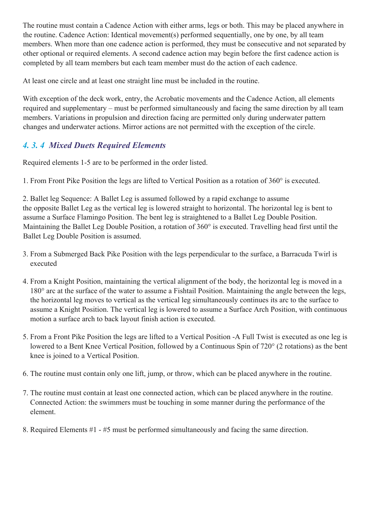The routine must contain a Cadence Action with either arms, legs or both. This may be placed anywhere in the routine. Cadence Action: Identical movement(s) performed sequentially, one by one, by all team members. When more than one cadence action is performed, they must be consecutive and not separated by other optional or required elements. A second cadence action may begin before the first cadence action is completed by all team members but each team member must do the action of each cadence.

At least one circle and at least one straight line must be included in the routine.

With exception of the deck work, entry, the Acrobatic movements and the Cadence Action, all elements required and supplementary – must be performed simultaneously and facing the same direction by all team members. Variations in propulsion and direction facing are permitted only during underwater pattern changes and underwater actions. Mirror actions are not permitted with the exception of the circle.

# *4. 3. 4 Mixed Duets Required Elements*

Required elements 1-5 are to be performed in the order listed.

1. From Front Pike Position the legs are lifted to Vertical Position as a rotation of 360° is executed.

2. Ballet leg Sequence: A Ballet Leg is assumed followed by a rapid exchange to assume the opposite Ballet Leg as the vertical leg is lowered straight to horizontal. The horizontal leg is bent to assume a Surface Flamingo Position. The bent leg is straightened to a Ballet Leg Double Position. Maintaining the Ballet Leg Double Position, a rotation of 360° is executed. Travelling head first until the Ballet Leg Double Position is assumed.

- 3. From a Submerged Back Pike Position with the legs perpendicular to the surface, a Barracuda Twirl is executed
- 4. From a Knight Position, maintaining the vertical alignment of the body, the horizontal leg is moved in a 180° arc at the surface of the water to assume a Fishtail Position. Maintaining the angle between the legs, the horizontal leg moves to vertical as the vertical leg simultaneously continues its arc to the surface to assume a Knight Position. The vertical leg is lowered to assume a Surface Arch Position, with continuous motion a surface arch to back layout finish action is executed.
- 5. From a Front Pike Position the legs are lifted to a Vertical Position -A Full Twist is executed as one leg is lowered to a Bent Knee Vertical Position, followed by a Continuous Spin of 720° (2 rotations) as the bent knee is joined to a Vertical Position.
- 6. The routine must contain only one lift, jump, or throw, which can be placed anywhere in the routine.
- 7. The routine must contain at least one connected action, which can be placed anywhere in the routine. Connected Action: the swimmers must be touching in some manner during the performance of the element.
- 8. Required Elements #1 #5 must be performed simultaneously and facing the same direction.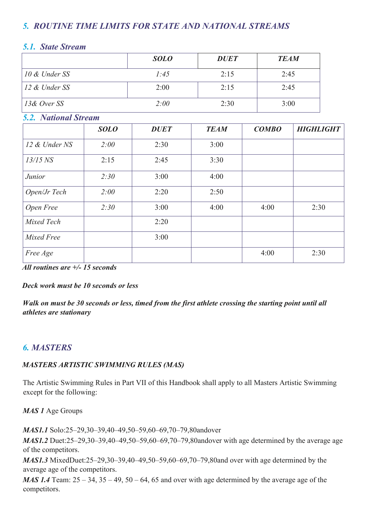# *5. ROUTINE TIME LIMITS FOR STATE AND NATIONAL STREAMS*

## *5.1. State Stream*

|               | <b>SOLO</b> | <b>DUET</b> | <b>TEAM</b> |
|---------------|-------------|-------------|-------------|
| 10 & Under SS | 1:45        | 2:15        | 2:45        |
| 12 & Under SS | 2:00        | 2:15        | 2:45        |
| 13& Over SS   | 2:00        | 2:30        | 3:00        |

# *5.2. National Stream*

|               | <b>SOLO</b> | <b>DUET</b> | <b>TEAM</b> | <b>COMBO</b> | <b>HIGHLIGHT</b> |
|---------------|-------------|-------------|-------------|--------------|------------------|
| 12 & Under NS | 2:00        | 2:30        | 3:00        |              |                  |
| $13/15$ NS    | 2:15        | 2:45        | 3:30        |              |                  |
| <i>Junior</i> | 2:30        | 3:00        | 4:00        |              |                  |
| Open/Jr Tech  | 2:00        | 2:20        | 2:50        |              |                  |
| Open Free     | 2:30        | 3:00        | 4:00        | 4:00         | 2:30             |
| Mixed Tech    |             | 2:20        |             |              |                  |
| Mixed Free    |             | 3:00        |             |              |                  |
| Free Age      |             |             |             | 4:00         | 2:30             |

*All routines are +/- 15 seconds* 

*Deck work must be 10 seconds or less* 

*Walk on must be 30 seconds or less, timed from the first athlete crossing the starting point until all athletes are stationary* 

# *6. MASTERS*

#### *MASTERS ARTISTIC SWIMMING RULES (MAS)*

The Artistic Swimming Rules in Part VII of this Handbook shall apply to all Masters Artistic Swimming except for the following:

*MAS 1* Age Groups

*MAS1.1* Solo:25–29,30–39,40–49,50–59,60–69,70–79,80andover

*MAS1.2* Duet:25–29,30–39,40–49,50–59,60–69,70–79,80andover with age determined by the average age of the competitors.

*MAS1.3* MixedDuet:25–29,30–39,40–49,50–59,60–69,70–79,80and over with age determined by the average age of the competitors.

*MAS 1.4* Team:  $25 - 34$ ,  $35 - 49$ ,  $50 - 64$ ,  $65$  and over with age determined by the average age of the competitors.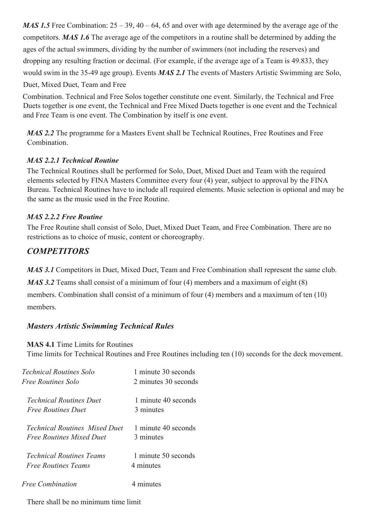*MAS 1.5* Free Combination:  $25 - 39$ , 40 – 64, 65 and over with age determined by the average age of the competitors. *MAS 1.6* The average age of the competitors in a routine shall be determined by adding the ages of the actual swimmers, dividing by the number of swimmers (not including the reserves) and dropping any resulting fraction or decimal. (For example, if the average age of a Team is 49.833, they would swim in the 35-49 age group). Events *MAS 2.1* The events of Masters Artistic Swimming are Solo, Duet, Mixed Duet, Team and Free

Combination. Technical and Free Solos together constitute one event. Similarly, the Technical and Free Duets together is one event, the Technical and Free Mixed Duets together is one event and the Technical and Free Team is one event. The Combination by itself is one event.

*MAS 2.2* The programme for a Masters Event shall be Technical Routines, Free Routines and Free Combination.

#### *MAS 2.2.1 Technical Routine*

The Technical Routines shall be performed for Solo, Duet, Mixed Duet and Team with the required elements selected by FINA Masters Committee every four (4) year, subject to approval by the FINA Bureau. Technical Routines have to include all required elements. Music selection is optional and may be the same as the music used in the Free Routine.

#### *MAS 2.2.2 Free Routine*

The Free Routine shall consist of Solo, Duet, Mixed Duet Team, and Free Combination. There are no restrictions as to choice of music, content or choreography.

# *COMPETITORS*

*MAS 3.1* Competitors in Duet, Mixed Duet, Team and Free Combination shall represent the same club.

*MAS* 3.2 Teams shall consist of a minimum of four (4) members and a maximum of eight (8) members. Combination shall consist of a minimum of four (4) members and a maximum of ten (10)

members.

# *Masters Artistic Swimming Technical Rules*

**MAS 4.1** Time Limits for Routines

Time limits for Technical Routines and Free Routines including ten (10) seconds for the deck movement.

| <i>Technical Routines Solo</i>       | 1 minute 30 seconds  |
|--------------------------------------|----------------------|
| Free Routines Solo                   | 2 minutes 30 seconds |
| <i>Technical Routines Duet</i>       | 1 minute 40 seconds  |
| <i>Free Routines Duet</i>            | 3 minutes            |
| <i>Technical Routines Mixed Duet</i> | 1 minute 40 seconds  |
| <i>Free Routines Mixed Duet</i>      | 3 minutes            |
| <i>Technical Routines Teams</i>      | 1 minute 50 seconds  |
| <i>Free Routines Teams</i>           | 4 minutes            |
| Free Combination                     | 4 minutes            |

There shall be no minimum time limit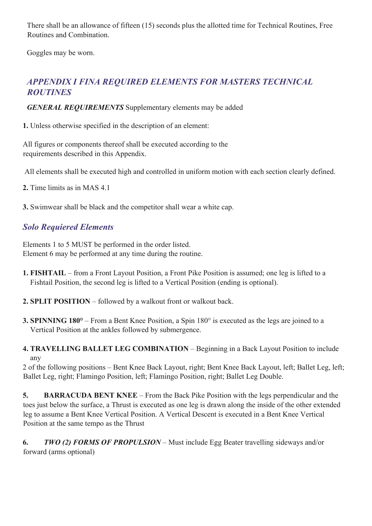There shall be an allowance of fifteen (15) seconds plus the allotted time for Technical Routines, Free Routines and Combination.

Goggles may be worn.

# *APPENDIX I FINA REQUIRED ELEMENTS FOR MASTERS TECHNICAL ROUTINES*

*GENERAL REQUIREMENTS* Supplementary elements may be added

**1.** Unless otherwise specified in the description of an element:

All figures or components thereof shall be executed according to the requirements described in this Appendix.

All elements shall be executed high and controlled in uniform motion with each section clearly defined.

**2.** Time limits as in MAS 4.1

**3.** Swimwear shall be black and the competitor shall wear a white cap.

# *Solo Requiered Elements*

Elements 1 to 5 MUST be performed in the order listed. Element 6 may be performed at any time during the routine.

- **1. FISHTAIL** from a Front Layout Position, a Front Pike Position is assumed; one leg is lifted to a Fishtail Position, the second leg is lifted to a Vertical Position (ending is optional).
- **2. SPLIT POSITION** followed by a walkout front or walkout back.
- **3. SPINNING 180°** From a Bent Knee Position, a Spin 180° is executed as the legs are joined to a Vertical Position at the ankles followed by submergence.
- **4. TRAVELLING BALLET LEG COMBINATION** Beginning in a Back Layout Position to include any

2 of the following positions – Bent Knee Back Layout, right; Bent Knee Back Layout, left; Ballet Leg, left; Ballet Leg, right; Flamingo Position, left; Flamingo Position, right; Ballet Leg Double.

**5. BARRACUDA BENT KNEE** – From the Back Pike Position with the legs perpendicular and the toes just below the surface, a Thrust is executed as one leg is drawn along the inside of the other extended leg to assume a Bent Knee Vertical Position. A Vertical Descent is executed in a Bent Knee Vertical Position at the same tempo as the Thrust

**6.** *TWO (2) FORMS OF PROPULSION* – Must include Egg Beater travelling sideways and/or forward (arms optional)